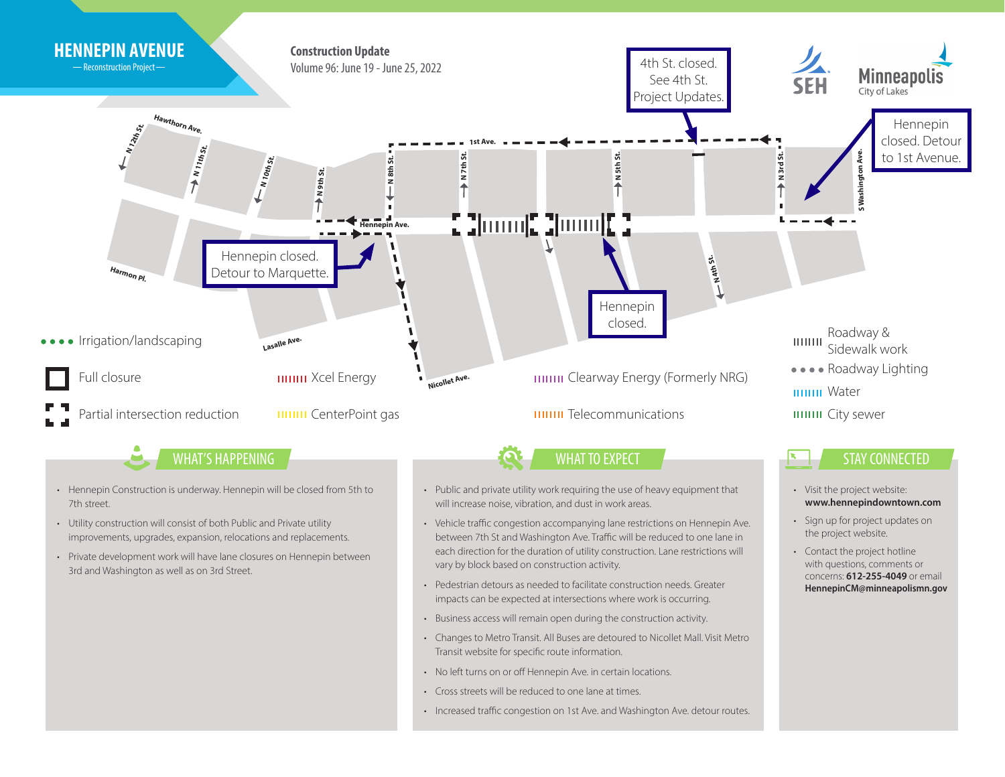

- Cross streets will be reduced to one lane at times.
- Increased traffic congestion on 1st Ave. and Washington Ave. detour routes.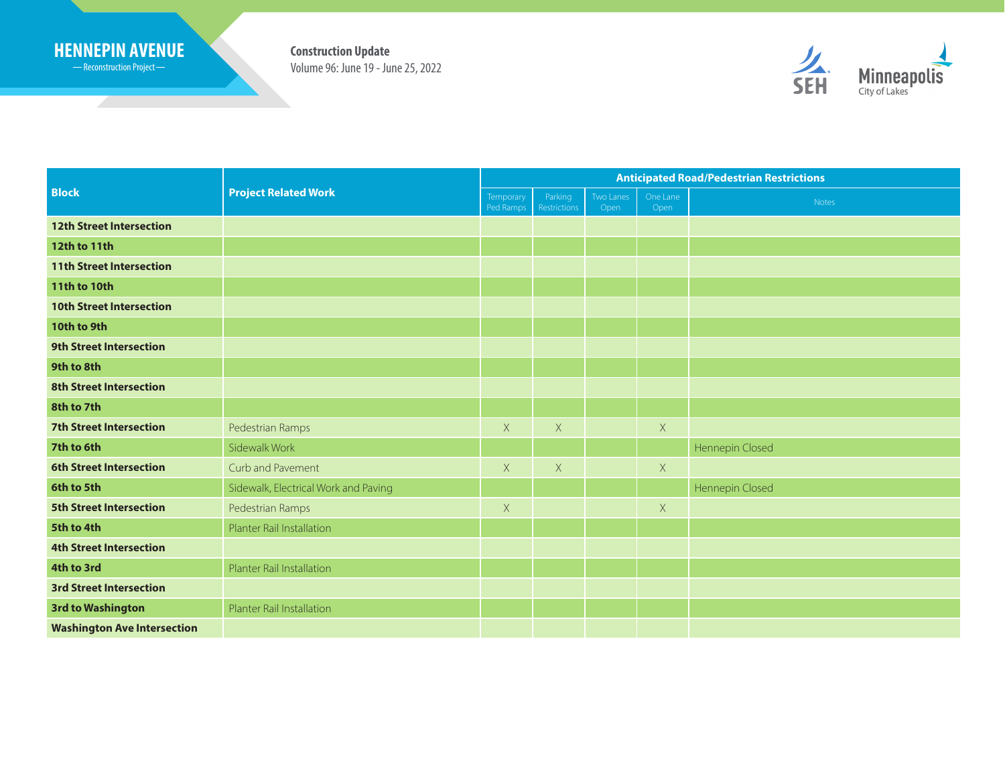## **HENNEPIN AVENUE Construction Update**

Reconstruction Project

<u> Samuel Barbara (</u>

Volume 96: June 19 - June 25, 2022



| <b>Block</b>                       | <b>Project Related Work</b>          | <b>Anticipated Road/Pedestrian Restrictions</b> |                                |                   |                  |                 |
|------------------------------------|--------------------------------------|-------------------------------------------------|--------------------------------|-------------------|------------------|-----------------|
|                                    |                                      | Temporary<br>Ped Ramps                          | Parking<br><b>Restrictions</b> | Two Lanes<br>Open | One Lane<br>Open | Notes           |
| <b>12th Street Intersection</b>    |                                      |                                                 |                                |                   |                  |                 |
| 12th to 11th                       |                                      |                                                 |                                |                   |                  |                 |
| <b>11th Street Intersection</b>    |                                      |                                                 |                                |                   |                  |                 |
| <b>11th to 10th</b>                |                                      |                                                 |                                |                   |                  |                 |
| <b>10th Street Intersection</b>    |                                      |                                                 |                                |                   |                  |                 |
| 10th to 9th                        |                                      |                                                 |                                |                   |                  |                 |
| <b>9th Street Intersection</b>     |                                      |                                                 |                                |                   |                  |                 |
| 9th to 8th                         |                                      |                                                 |                                |                   |                  |                 |
| <b>8th Street Intersection</b>     |                                      |                                                 |                                |                   |                  |                 |
| 8th to 7th                         |                                      |                                                 |                                |                   |                  |                 |
| <b>7th Street Intersection</b>     | Pedestrian Ramps                     | $\times$                                        | $\times$                       |                   | $\times$         |                 |
| 7th to 6th                         | Sidewalk Work                        |                                                 |                                |                   |                  | Hennepin Closed |
| <b>6th Street Intersection</b>     | Curb and Pavement                    | $\mathsf X$                                     | $\mathsf X$                    |                   | $\times$         |                 |
| 6th to 5th                         | Sidewalk, Electrical Work and Paving |                                                 |                                |                   |                  | Hennepin Closed |
| <b>5th Street Intersection</b>     | Pedestrian Ramps                     | $\mathsf X$                                     |                                |                   | $\times$         |                 |
| 5th to 4th                         | Planter Rail Installation            |                                                 |                                |                   |                  |                 |
| <b>4th Street Intersection</b>     |                                      |                                                 |                                |                   |                  |                 |
| 4th to 3rd                         | Planter Rail Installation            |                                                 |                                |                   |                  |                 |
| <b>3rd Street Intersection</b>     |                                      |                                                 |                                |                   |                  |                 |
| <b>3rd to Washington</b>           | Planter Rail Installation            |                                                 |                                |                   |                  |                 |
| <b>Washington Ave Intersection</b> |                                      |                                                 |                                |                   |                  |                 |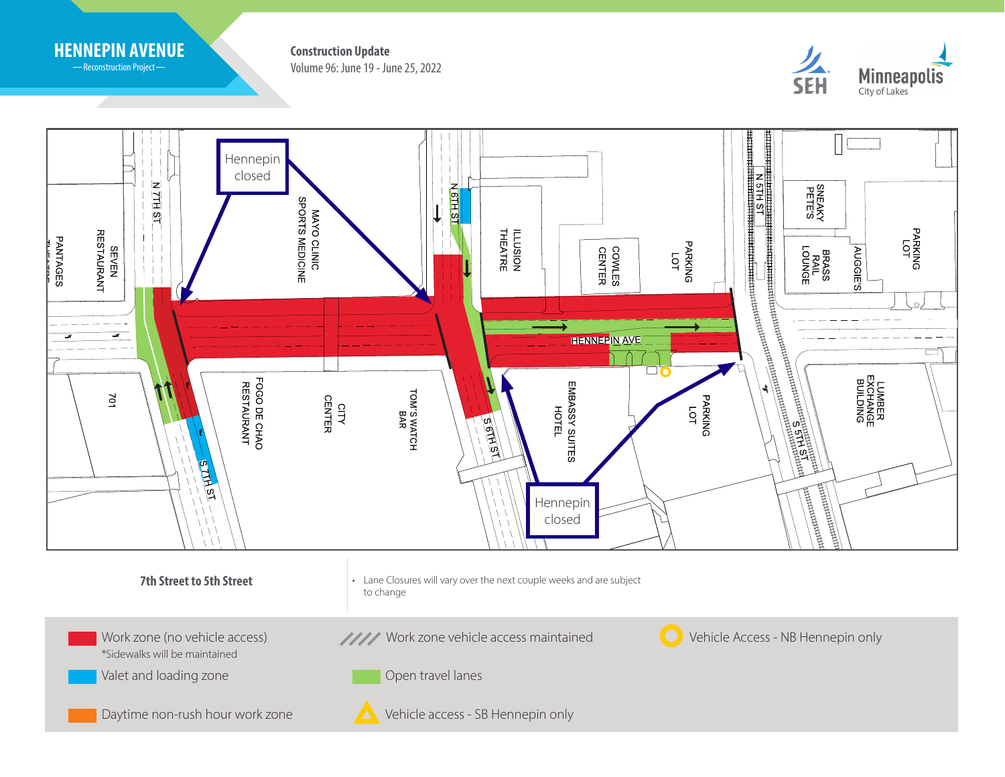

-Reconstruction Project-

Volume 96: June 19 - June 25, 2022